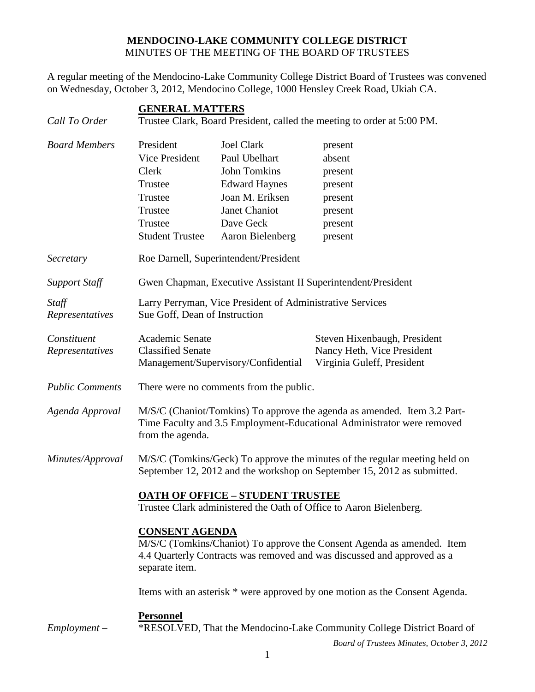## **MENDOCINO-LAKE COMMUNITY COLLEGE DISTRICT** MINUTES OF THE MEETING OF THE BOARD OF TRUSTEES

A regular meeting of the Mendocino-Lake Community College District Board of Trustees was convened on Wednesday, October 3, 2012, Mendocino College, 1000 Hensley Creek Road, Ukiah CA.

| Call To Order                  | <b>GENERAL MATTERS</b><br>Trustee Clark, Board President, called the meeting to order at 5:00 PM.                                                                                            |                                                                                                                                                        |                                                                                                                      |  |
|--------------------------------|----------------------------------------------------------------------------------------------------------------------------------------------------------------------------------------------|--------------------------------------------------------------------------------------------------------------------------------------------------------|----------------------------------------------------------------------------------------------------------------------|--|
| <b>Board Members</b>           | President<br><b>Vice President</b><br>Clerk<br>Trustee<br>Trustee<br>Trustee<br>Trustee<br><b>Student Trustee</b>                                                                            | <b>Joel Clark</b><br>Paul Ubelhart<br><b>John Tomkins</b><br><b>Edward Haynes</b><br>Joan M. Eriksen<br>Janet Chaniot<br>Dave Geck<br>Aaron Bielenberg | present<br>absent<br>present<br>present<br>present<br>present<br>present<br>present                                  |  |
| Secretary                      | Roe Darnell, Superintendent/President                                                                                                                                                        |                                                                                                                                                        |                                                                                                                      |  |
| <b>Support Staff</b>           | Gwen Chapman, Executive Assistant II Superintendent/President                                                                                                                                |                                                                                                                                                        |                                                                                                                      |  |
| Staff<br>Representatives       | Larry Perryman, Vice President of Administrative Services<br>Sue Goff, Dean of Instruction                                                                                                   |                                                                                                                                                        |                                                                                                                      |  |
| Constituent<br>Representatives | Academic Senate<br><b>Classified Senate</b><br>Management/Supervisory/Confidential                                                                                                           |                                                                                                                                                        | Steven Hixenbaugh, President<br>Nancy Heth, Vice President<br>Virginia Guleff, President                             |  |
| <b>Public Comments</b>         | There were no comments from the public.                                                                                                                                                      |                                                                                                                                                        |                                                                                                                      |  |
| Agenda Approval                | M/S/C (Chaniot/Tomkins) To approve the agenda as amended. Item 3.2 Part-<br>Time Faculty and 3.5 Employment-Educational Administrator were removed<br>from the agenda.                       |                                                                                                                                                        |                                                                                                                      |  |
| Minutes/Approval               | M/S/C (Tomkins/Geck) To approve the minutes of the regular meeting held on<br>September 12, 2012 and the workshop on September 15, 2012 as submitted.                                        |                                                                                                                                                        |                                                                                                                      |  |
|                                | <b>OATH OF OFFICE - STUDENT TRUSTEE</b><br>Trustee Clark administered the Oath of Office to Aaron Bielenberg.                                                                                |                                                                                                                                                        |                                                                                                                      |  |
|                                | <b>CONSENT AGENDA</b><br>M/S/C (Tomkins/Chaniot) To approve the Consent Agenda as amended. Item<br>4.4 Quarterly Contracts was removed and was discussed and approved as a<br>separate item. |                                                                                                                                                        |                                                                                                                      |  |
|                                | Items with an asterisk * were approved by one motion as the Consent Agenda.                                                                                                                  |                                                                                                                                                        |                                                                                                                      |  |
| $Employment -$                 | <b>Personnel</b>                                                                                                                                                                             |                                                                                                                                                        | *RESOLVED, That the Mendocino-Lake Community College District Board of<br>Board of Trustees Minutes, October 3, 2012 |  |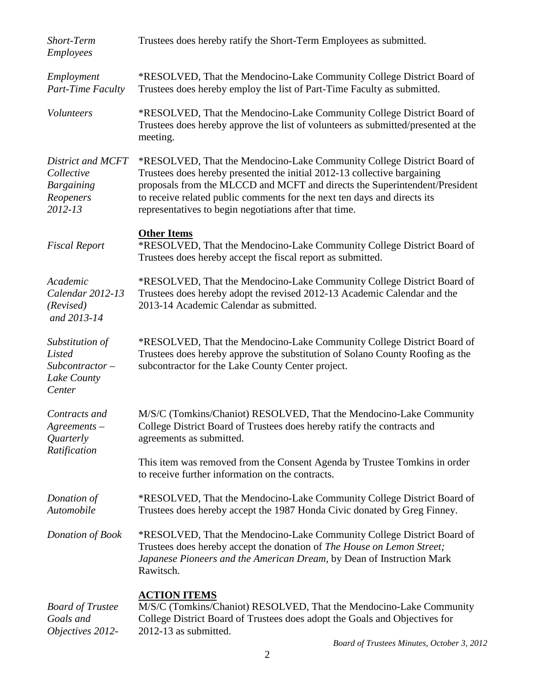| Short-Term<br><b>Employees</b>                                               | Trustees does hereby ratify the Short-Term Employees as submitted.                                                                                                                                                                                                                                                                                                     |
|------------------------------------------------------------------------------|------------------------------------------------------------------------------------------------------------------------------------------------------------------------------------------------------------------------------------------------------------------------------------------------------------------------------------------------------------------------|
| Employment<br>Part-Time Faculty                                              | *RESOLVED, That the Mendocino-Lake Community College District Board of<br>Trustees does hereby employ the list of Part-Time Faculty as submitted.                                                                                                                                                                                                                      |
| Volunteers                                                                   | *RESOLVED, That the Mendocino-Lake Community College District Board of<br>Trustees does hereby approve the list of volunteers as submitted/presented at the<br>meeting.                                                                                                                                                                                                |
| District and MCFT<br>Collective<br><b>Bargaining</b><br>Reopeners<br>2012-13 | *RESOLVED, That the Mendocino-Lake Community College District Board of<br>Trustees does hereby presented the initial 2012-13 collective bargaining<br>proposals from the MLCCD and MCFT and directs the Superintendent/President<br>to receive related public comments for the next ten days and directs its<br>representatives to begin negotiations after that time. |
| <b>Fiscal Report</b>                                                         | <b>Other Items</b><br>*RESOLVED, That the Mendocino-Lake Community College District Board of<br>Trustees does hereby accept the fiscal report as submitted.                                                                                                                                                                                                            |
| Academic<br>Calendar 2012-13<br>(Revised)<br>and 2013-14                     | *RESOLVED, That the Mendocino-Lake Community College District Board of<br>Trustees does hereby adopt the revised 2012-13 Academic Calendar and the<br>2013-14 Academic Calendar as submitted.                                                                                                                                                                          |
| Substitution of<br>Listed<br>$Subcontractor -$<br>Lake County<br>Center      | *RESOLVED, That the Mendocino-Lake Community College District Board of<br>Trustees does hereby approve the substitution of Solano County Roofing as the<br>subcontractor for the Lake County Center project.                                                                                                                                                           |
| Contracts and<br>$A$ greements $-$<br>Quarterly<br>Ratification              | M/S/C (Tomkins/Chaniot) RESOLVED, That the Mendocino-Lake Community<br>College District Board of Trustees does hereby ratify the contracts and<br>agreements as submitted.                                                                                                                                                                                             |
|                                                                              | This item was removed from the Consent Agenda by Trustee Tomkins in order<br>to receive further information on the contracts.                                                                                                                                                                                                                                          |
| Donation of<br>Automobile                                                    | *RESOLVED, That the Mendocino-Lake Community College District Board of<br>Trustees does hereby accept the 1987 Honda Civic donated by Greg Finney.                                                                                                                                                                                                                     |
| Donation of Book                                                             | *RESOLVED, That the Mendocino-Lake Community College District Board of<br>Trustees does hereby accept the donation of The House on Lemon Street;<br>Japanese Pioneers and the American Dream, by Dean of Instruction Mark<br>Rawitsch.                                                                                                                                 |
| <b>Board of Trustee</b><br>Goals and<br>Objectives 2012-                     | <b>ACTION ITEMS</b><br>M/S/C (Tomkins/Chaniot) RESOLVED, That the Mendocino-Lake Community<br>College District Board of Trustees does adopt the Goals and Objectives for<br>2012-13 as submitted.                                                                                                                                                                      |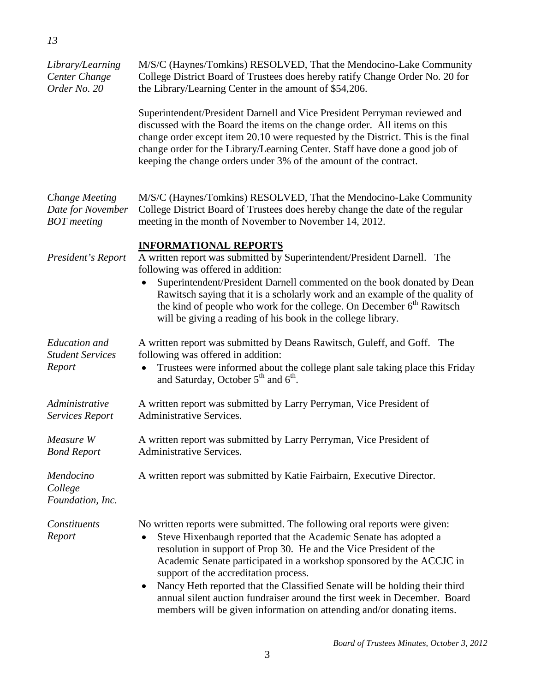| Library/Learning<br>Center Change<br>Order No. 20                | M/S/C (Haynes/Tomkins) RESOLVED, That the Mendocino-Lake Community<br>College District Board of Trustees does hereby ratify Change Order No. 20 for<br>the Library/Learning Center in the amount of \$54,206.                                                                                                                                                                                                                                                                                                                                                                 |  |  |
|------------------------------------------------------------------|-------------------------------------------------------------------------------------------------------------------------------------------------------------------------------------------------------------------------------------------------------------------------------------------------------------------------------------------------------------------------------------------------------------------------------------------------------------------------------------------------------------------------------------------------------------------------------|--|--|
|                                                                  | Superintendent/President Darnell and Vice President Perryman reviewed and<br>discussed with the Board the items on the change order. All items on this<br>change order except item 20.10 were requested by the District. This is the final<br>change order for the Library/Learning Center. Staff have done a good job of<br>keeping the change orders under 3% of the amount of the contract.                                                                                                                                                                                |  |  |
| <b>Change Meeting</b><br>Date for November<br><b>BOT</b> meeting | M/S/C (Haynes/Tomkins) RESOLVED, That the Mendocino-Lake Community<br>College District Board of Trustees does hereby change the date of the regular<br>meeting in the month of November to November 14, 2012.                                                                                                                                                                                                                                                                                                                                                                 |  |  |
| President's Report                                               | <b>INFORMATIONAL REPORTS</b><br>A written report was submitted by Superintendent/President Darnell. The<br>following was offered in addition:<br>Superintendent/President Darnell commented on the book donated by Dean<br>Rawitsch saying that it is a scholarly work and an example of the quality of<br>the kind of people who work for the college. On December 6 <sup>th</sup> Rawitsch<br>will be giving a reading of his book in the college library.                                                                                                                  |  |  |
| <b>Education</b> and<br><b>Student Services</b><br>Report        | A written report was submitted by Deans Rawitsch, Guleff, and Goff. The<br>following was offered in addition:<br>Trustees were informed about the college plant sale taking place this Friday<br>and Saturday, October $5th$ and $6th$ .                                                                                                                                                                                                                                                                                                                                      |  |  |
| Administrative<br><b>Services Report</b>                         | A written report was submitted by Larry Perryman, Vice President of<br><b>Administrative Services.</b>                                                                                                                                                                                                                                                                                                                                                                                                                                                                        |  |  |
| Measure W<br><b>Bond Report</b>                                  | A written report was submitted by Larry Perryman, Vice President of<br>Administrative Services.                                                                                                                                                                                                                                                                                                                                                                                                                                                                               |  |  |
| Mendocino<br>College<br>Foundation, Inc.                         | A written report was submitted by Katie Fairbairn, Executive Director.                                                                                                                                                                                                                                                                                                                                                                                                                                                                                                        |  |  |
| Constituents<br>Report                                           | No written reports were submitted. The following oral reports were given:<br>Steve Hixenbaugh reported that the Academic Senate has adopted a<br>resolution in support of Prop 30. He and the Vice President of the<br>Academic Senate participated in a workshop sponsored by the ACCJC in<br>support of the accreditation process.<br>Nancy Heth reported that the Classified Senate will be holding their third<br>٠<br>annual silent auction fundraiser around the first week in December. Board<br>members will be given information on attending and/or donating items. |  |  |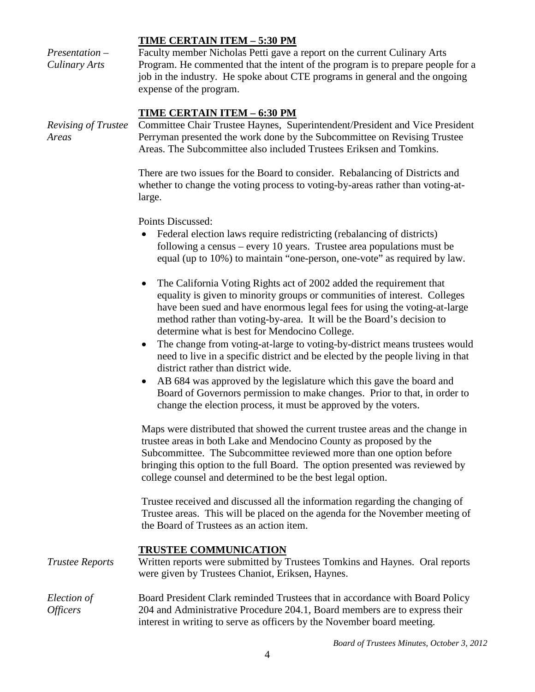|                                       | <b>TIME CERTAIN ITEM - 5:30 PM</b>                                                                                                                                                                                                                                                                                                                                        |  |
|---------------------------------------|---------------------------------------------------------------------------------------------------------------------------------------------------------------------------------------------------------------------------------------------------------------------------------------------------------------------------------------------------------------------------|--|
| $Presentation -$<br>Culinary Arts     | Faculty member Nicholas Petti gave a report on the current Culinary Arts<br>Program. He commented that the intent of the program is to prepare people for a<br>job in the industry. He spoke about CTE programs in general and the ongoing<br>expense of the program.                                                                                                     |  |
| Revising of Trustee<br>Areas          | <u>TIME CERTAIN ITEM – 6:30 PM</u><br>Committee Chair Trustee Haynes, Superintendent/President and Vice President<br>Perryman presented the work done by the Subcommittee on Revising Trustee<br>Areas. The Subcommittee also included Trustees Eriksen and Tomkins.                                                                                                      |  |
|                                       | There are two issues for the Board to consider. Rebalancing of Districts and<br>whether to change the voting process to voting-by-areas rather than voting-at-<br>large.                                                                                                                                                                                                  |  |
|                                       | Points Discussed:<br>Federal election laws require redistricting (rebalancing of districts)<br>following a census – every 10 years. Trustee area populations must be<br>equal (up to 10%) to maintain "one-person, one-vote" as required by law.                                                                                                                          |  |
|                                       | The California Voting Rights act of 2002 added the requirement that<br>$\bullet$<br>equality is given to minority groups or communities of interest. Colleges<br>have been sued and have enormous legal fees for using the voting-at-large<br>method rather than voting-by-area. It will be the Board's decision to<br>determine what is best for Mendocino College.      |  |
|                                       | The change from voting-at-large to voting-by-district means trustees would<br>need to live in a specific district and be elected by the people living in that<br>district rather than district wide.                                                                                                                                                                      |  |
|                                       | AB 684 was approved by the legislature which this gave the board and<br>Board of Governors permission to make changes. Prior to that, in order to<br>change the election process, it must be approved by the voters.                                                                                                                                                      |  |
|                                       | Maps were distributed that showed the current trustee areas and the change in<br>trustee areas in both Lake and Mendocino County as proposed by the<br>Subcommittee. The Subcommittee reviewed more than one option before<br>bringing this option to the full Board. The option presented was reviewed by<br>college counsel and determined to be the best legal option. |  |
|                                       | Trustee received and discussed all the information regarding the changing of<br>Trustee areas. This will be placed on the agenda for the November meeting of<br>the Board of Trustees as an action item.                                                                                                                                                                  |  |
| <b>Trustee Reports</b>                | <b>TRUSTEE COMMUNICATION</b><br>Written reports were submitted by Trustees Tomkins and Haynes. Oral reports<br>were given by Trustees Chaniot, Eriksen, Haynes.                                                                                                                                                                                                           |  |
| Election of<br><i><b>Officers</b></i> | Board President Clark reminded Trustees that in accordance with Board Policy<br>204 and Administrative Procedure 204.1, Board members are to express their<br>interest in writing to serve as officers by the November board meeting.                                                                                                                                     |  |